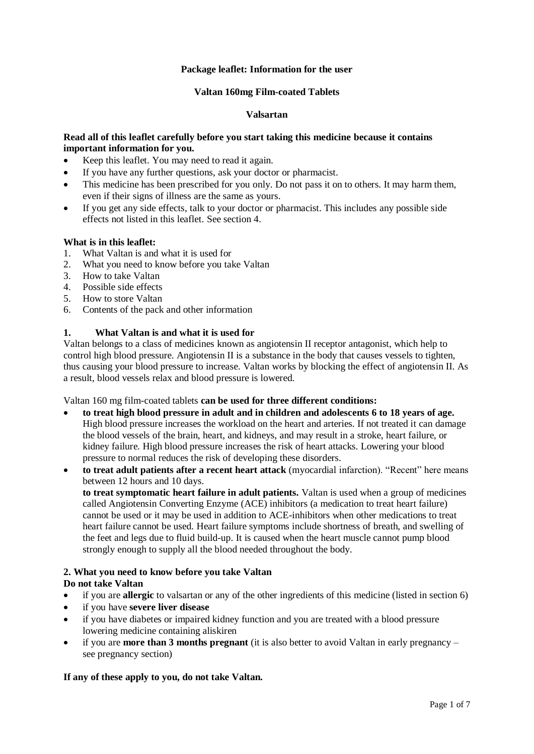# **Package leaflet: Information for the user**

### **Valtan 160mg Film-coated Tablets**

### **Valsartan**

# **Read all of this leaflet carefully before you start taking this medicine because it contains important information for you.**

- Keep this leaflet. You may need to read it again.
- If you have any further questions, ask your doctor or pharmacist.
- This medicine has been prescribed for you only. Do not pass it on to others. It may harm them, even if their signs of illness are the same as yours.
- If you get any side effects, talk to your doctor or pharmacist. This includes any possible side effects not listed in this leaflet. See section 4.

### **What is in this leaflet:**

- 1. What Valtan is and what it is used for
- 2. What you need to know before you take Valtan
- 3. How to take Valtan
- 4. Possible side effects
- 5. How to store Valtan
- 6. Contents of the pack and other information

# **1. What Valtan is and what it is used for**

Valtan belongs to a class of medicines known as angiotensin II receptor antagonist, which help to control high blood pressure. Angiotensin II is a substance in the body that causes vessels to tighten, thus causing your blood pressure to increase. Valtan works by blocking the effect of angiotensin II. As a result, blood vessels relax and blood pressure is lowered.

Valtan 160 mg film-coated tablets **can be used for three different conditions:**

- **to treat high blood pressure in adult and in children and adolescents 6 to 18 years of age.** High blood pressure increases the workload on the heart and arteries. If not treated it can damage the blood vessels of the brain, heart, and kidneys, and may result in a stroke, heart failure, or kidney failure. High blood pressure increases the risk of heart attacks. Lowering your blood pressure to normal reduces the risk of developing these disorders.
- **to treat adult patients after a recent heart attack** (myocardial infarction). "Recent" here means between 12 hours and 10 days.

**to treat symptomatic heart failure in adult patients.** Valtan is used when a group of medicines called Angiotensin Converting Enzyme (ACE) inhibitors (a medication to treat heart failure) cannot be used or it may be used in addition to ACE-inhibitors when other medications to treat heart failure cannot be used. Heart failure symptoms include shortness of breath, and swelling of the feet and legs due to fluid build-up. It is caused when the heart muscle cannot pump blood strongly enough to supply all the blood needed throughout the body.

# **2. What you need to know before you take Valtan**

# **Do not take Valtan**

- if you are **allergic** to valsartan or any of the other ingredients of this medicine (listed in section 6)
- if you have **severe liver disease**
- if you have diabetes or impaired kidney function and you are treated with a blood pressure lowering medicine containing aliskiren
- if you are **more than 3 months pregnant** (it is also better to avoid Valtan in early pregnancy see pregnancy section)

# **If any of these apply to you, do not take Valtan.**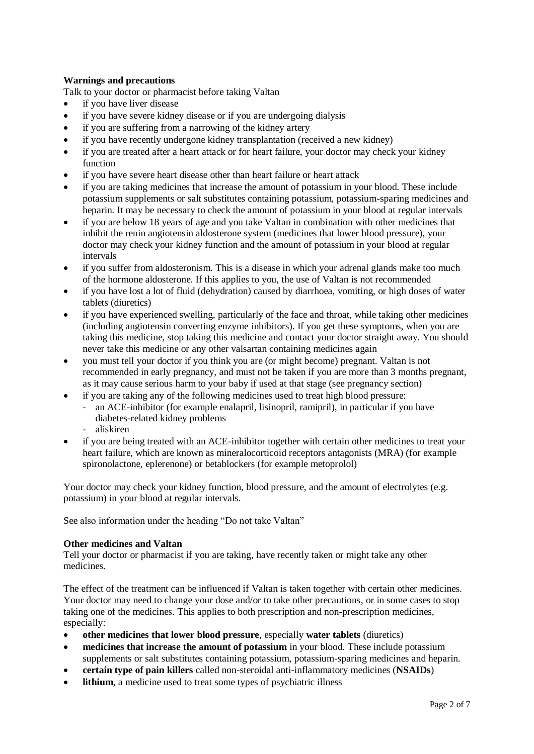# **Warnings and precautions**

Talk to your doctor or pharmacist before taking Valtan

- if you have liver disease
- if you have severe kidney disease or if you are undergoing dialysis
- if you are suffering from a narrowing of the kidney artery
- if you have recently undergone kidney transplantation (received a new kidney)
- if you are treated after a heart attack or for heart failure, your doctor may check your kidney function
- if you have severe heart disease other than heart failure or heart attack
- if you are taking medicines that increase the amount of potassium in your blood. These include potassium supplements or salt substitutes containing potassium, potassium-sparing medicines and heparin. It may be necessary to check the amount of potassium in your blood at regular intervals
- if you are below 18 years of age and you take Valtan in combination with other medicines that inhibit the renin angiotensin aldosterone system (medicines that lower blood pressure), your doctor may check your kidney function and the amount of potassium in your blood at regular intervals
- if you suffer from aldosteronism. This is a disease in which your adrenal glands make too much of the hormone aldosterone. If this applies to you, the use of Valtan is not recommended
- if you have lost a lot of fluid (dehydration) caused by diarrhoea, vomiting, or high doses of water tablets (diuretics)
- if you have experienced swelling, particularly of the face and throat, while taking other medicines (including angiotensin converting enzyme inhibitors). If you get these symptoms, when you are taking this medicine, stop taking this medicine and contact your doctor straight away. You should never take this medicine or any other valsartan containing medicines again
- you must tell your doctor if you think you are (or might become) pregnant. Valtan is not recommended in early pregnancy, and must not be taken if you are more than 3 months pregnant, as it may cause serious harm to your baby if used at that stage (see pregnancy section)
- if you are taking any of the following medicines used to treat high blood pressure:
	- an ACE-inhibitor (for example enalapril, lisinopril, ramipril), in particular if you have diabetes-related kidney problems
	- aliskiren
- if you are being treated with an ACE-inhibitor together with certain other medicines to treat your heart failure, which are known as mineralocorticoid receptors antagonists (MRA) (for example spironolactone, eplerenone) or betablockers (for example metoprolol)

Your doctor may check your kidney function, blood pressure, and the amount of electrolytes (e.g. potassium) in your blood at regular intervals.

See also information under the heading "Do not take Valtan"

# **Other medicines and Valtan**

Tell your doctor or pharmacist if you are taking, have recently taken or might take any other medicines.

The effect of the treatment can be influenced if Valtan is taken together with certain other medicines. Your doctor may need to change your dose and/or to take other precautions, or in some cases to stop taking one of the medicines. This applies to both prescription and non-prescription medicines, especially:

- **other medicines that lower blood pressure**, especially **water tablets** (diuretics)
- **medicines that increase the amount of potassium** in your blood. These include potassium supplements or salt substitutes containing potassium, potassium-sparing medicines and heparin.
- **certain type of pain killers** called non-steroidal anti-inflammatory medicines (**NSAIDs**)
- **lithium**, a medicine used to treat some types of psychiatric illness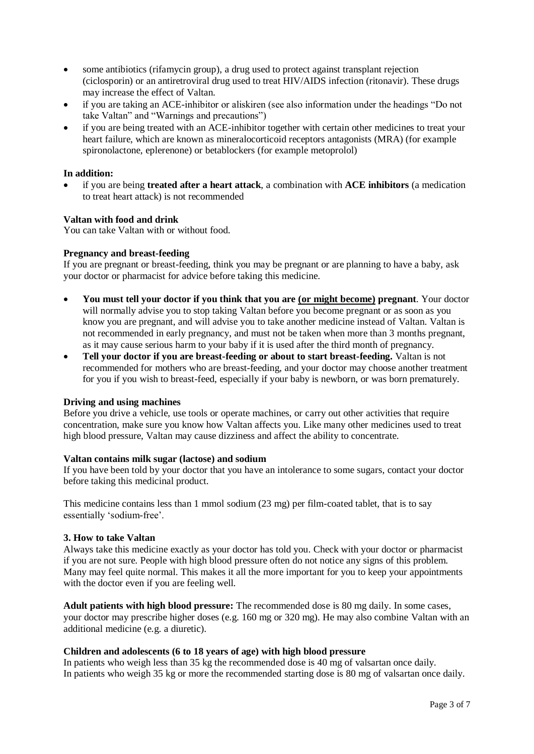- some antibiotics (rifamycin group), a drug used to protect against transplant rejection (ciclosporin) or an antiretroviral drug used to treat HIV/AIDS infection (ritonavir). These drugs may increase the effect of Valtan.
- if you are taking an ACE-inhibitor or aliskiren (see also information under the headings "Do not take Valtan" and "Warnings and precautions")
- if you are being treated with an ACE-inhibitor together with certain other medicines to treat your heart failure, which are known as mineralocorticoid receptors antagonists (MRA) (for example spironolactone, eplerenone) or betablockers (for example metoprolol)

### **In addition:**

 if you are being **treated after a heart attack**, a combination with **ACE inhibitors** (a medication to treat heart attack) is not recommended

### **Valtan with food and drink**

You can take Valtan with or without food.

### **Pregnancy and breast-feeding**

If you are pregnant or breast-feeding, think you may be pregnant or are planning to have a baby, ask your doctor or pharmacist for advice before taking this medicine.

- **You must tell your doctor if you think that you are (or might become) pregnant**. Your doctor will normally advise you to stop taking Valtan before you become pregnant or as soon as you know you are pregnant, and will advise you to take another medicine instead of Valtan. Valtan is not recommended in early pregnancy, and must not be taken when more than 3 months pregnant, as it may cause serious harm to your baby if it is used after the third month of pregnancy.
- **Tell your doctor if you are breast-feeding or about to start breast-feeding.** Valtan is not recommended for mothers who are breast-feeding, and your doctor may choose another treatment for you if you wish to breast-feed, especially if your baby is newborn, or was born prematurely.

#### **Driving and using machines**

Before you drive a vehicle, use tools or operate machines, or carry out other activities that require concentration, make sure you know how Valtan affects you. Like many other medicines used to treat high blood pressure, Valtan may cause dizziness and affect the ability to concentrate.

# **Valtan contains milk sugar (lactose) and sodium**

If you have been told by your doctor that you have an intolerance to some sugars, contact your doctor before taking this medicinal product.

This medicine contains less than 1 mmol sodium (23 mg) per film-coated tablet, that is to say essentially 'sodium-free'.

#### **3. How to take Valtan**

Always take this medicine exactly as your doctor has told you. Check with your doctor or pharmacist if you are not sure. People with high blood pressure often do not notice any signs of this problem. Many may feel quite normal. This makes it all the more important for you to keep your appointments with the doctor even if you are feeling well.

**Adult patients with high blood pressure:** The recommended dose is 80 mg daily. In some cases, your doctor may prescribe higher doses (e.g. 160 mg or 320 mg). He may also combine Valtan with an additional medicine (e.g. a diuretic).

# **Children and adolescents (6 to 18 years of age) with high blood pressure**

In patients who weigh less than 35 kg the recommended dose is 40 mg of valsartan once daily. In patients who weigh 35 kg or more the recommended starting dose is 80 mg of valsartan once daily.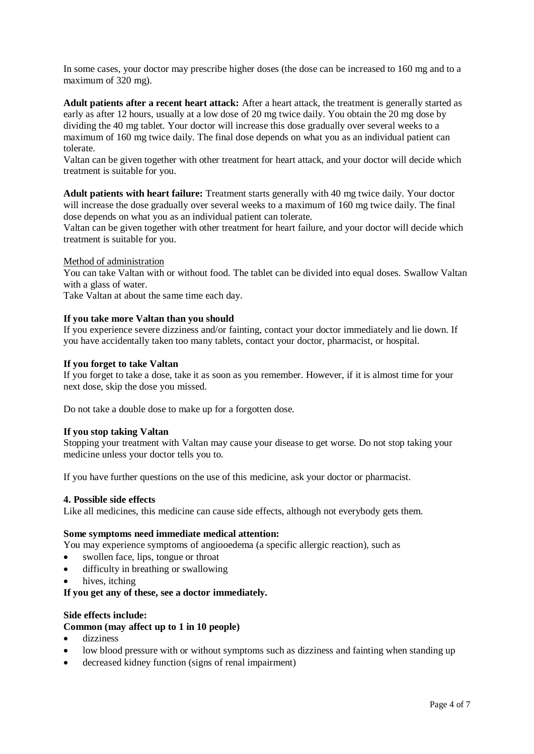In some cases, your doctor may prescribe higher doses (the dose can be increased to 160 mg and to a maximum of 320 mg).

**Adult patients after a recent heart attack:** After a heart attack, the treatment is generally started as early as after 12 hours, usually at a low dose of 20 mg twice daily. You obtain the 20 mg dose by dividing the 40 mg tablet. Your doctor will increase this dose gradually over several weeks to a maximum of 160 mg twice daily. The final dose depends on what you as an individual patient can tolerate.

Valtan can be given together with other treatment for heart attack, and your doctor will decide which treatment is suitable for you.

**Adult patients with heart failure:** Treatment starts generally with 40 mg twice daily. Your doctor will increase the dose gradually over several weeks to a maximum of 160 mg twice daily. The final dose depends on what you as an individual patient can tolerate.

Valtan can be given together with other treatment for heart failure, and your doctor will decide which treatment is suitable for you.

Method of administration

You can take Valtan with or without food. The tablet can be divided into equal doses. Swallow Valtan with a glass of water.

Take Valtan at about the same time each day.

### **If you take more Valtan than you should**

If you experience severe dizziness and/or fainting, contact your doctor immediately and lie down. If you have accidentally taken too many tablets, contact your doctor, pharmacist, or hospital.

#### **If you forget to take Valtan**

If you forget to take a dose, take it as soon as you remember. However, if it is almost time for your next dose, skip the dose you missed.

Do not take a double dose to make up for a forgotten dose.

#### **If you stop taking Valtan**

Stopping your treatment with Valtan may cause your disease to get worse. Do not stop taking your medicine unless your doctor tells you to.

If you have further questions on the use of this medicine, ask your doctor or pharmacist.

#### **4. Possible side effects**

Like all medicines, this medicine can cause side effects, although not everybody gets them.

### **Some symptoms need immediate medical attention:**

You may experience symptoms of angiooedema (a specific allergic reaction), such as

- swollen face, lips, tongue or throat
- difficulty in breathing or swallowing
- hives, itching

**If you get any of these, see a doctor immediately.**

#### **Side effects include:**

# **Common (may affect up to 1 in 10 people)**

- dizziness
- low blood pressure with or without symptoms such as dizziness and fainting when standing up
- decreased kidney function (signs of renal impairment)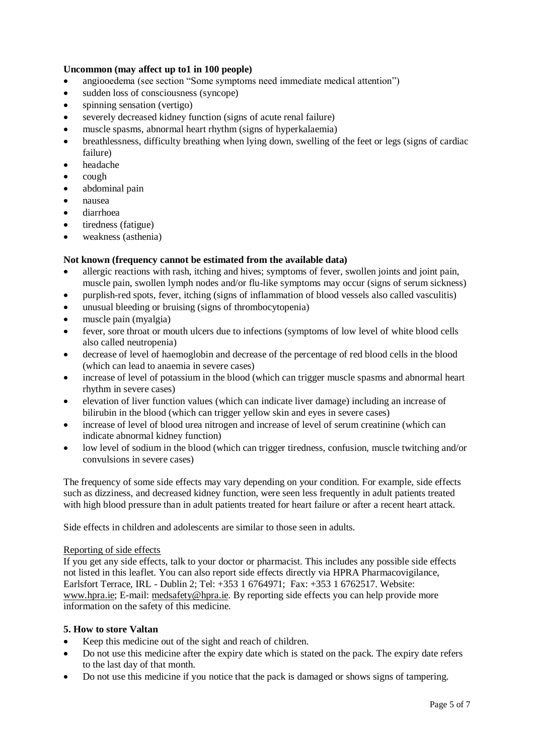# **Uncommon (may affect up to1 in 100 people)**

- angiooedema (see section "Some symptoms need immediate medical attention")
- sudden loss of consciousness (syncope)
- spinning sensation (vertigo)
- severely decreased kidney function (signs of acute renal failure)
- muscle spasms, abnormal heart rhythm (signs of hyperkalaemia)
- breathlessness, difficulty breathing when lying down, swelling of the feet or legs (signs of cardiac failure)
- headache
- $\bullet$  cough
- abdominal pain
- nausea
- diarrhoea
- tiredness (fatigue)
- weakness (asthenia)

# **Not known (frequency cannot be estimated from the available data)**

- allergic reactions with rash, itching and hives; symptoms of fever, swollen joints and joint pain, muscle pain, swollen lymph nodes and/or flu-like symptoms may occur (signs of serum sickness)
- purplish-red spots, fever, itching (signs of inflammation of blood vessels also called vasculitis)
- unusual bleeding or bruising (signs of thrombocytopenia)
- muscle pain (myalgia)
- fever, sore throat or mouth ulcers due to infections (symptoms of low level of white blood cells also called neutropenia)
- decrease of level of haemoglobin and decrease of the percentage of red blood cells in the blood (which can lead to anaemia in severe cases)
- increase of level of potassium in the blood (which can trigger muscle spasms and abnormal heart rhythm in severe cases)
- elevation of liver function values (which can indicate liver damage) including an increase of bilirubin in the blood (which can trigger yellow skin and eyes in severe cases)
- increase of level of blood urea nitrogen and increase of level of serum creatinine (which can indicate abnormal kidney function)
- low level of sodium in the blood (which can trigger tiredness, confusion, muscle twitching and/or convulsions in severe cases)

The frequency of some side effects may vary depending on your condition. For example, side effects such as dizziness, and decreased kidney function, were seen less frequently in adult patients treated with high blood pressure than in adult patients treated for heart failure or after a recent heart attack.

Side effects in children and adolescents are similar to those seen in adults.

# Reporting of side effects

If you get any side effects, talk to your doctor or pharmacist. This includes any possible side effects not listed in this leaflet. You can also report side effects directly via HPRA Pharmacovigilance, Earlsfort Terrace, IRL - Dublin 2; Tel: +353 1 6764971; Fax: +353 1 6762517. Website: [www.hpra.ie;](http://www.hpra.ie/) E-mail: [medsafety@hpra.ie.](mailto:medsafety@hpra.ie) By reporting side effects you can help provide more information on the safety of this medicine.

# **5. How to store Valtan**

- Keep this medicine out of the sight and reach of children.
- Do not use this medicine after the expiry date which is stated on the pack. The expiry date refers to the last day of that month.
- Do not use this medicine if you notice that the pack is damaged or shows signs of tampering.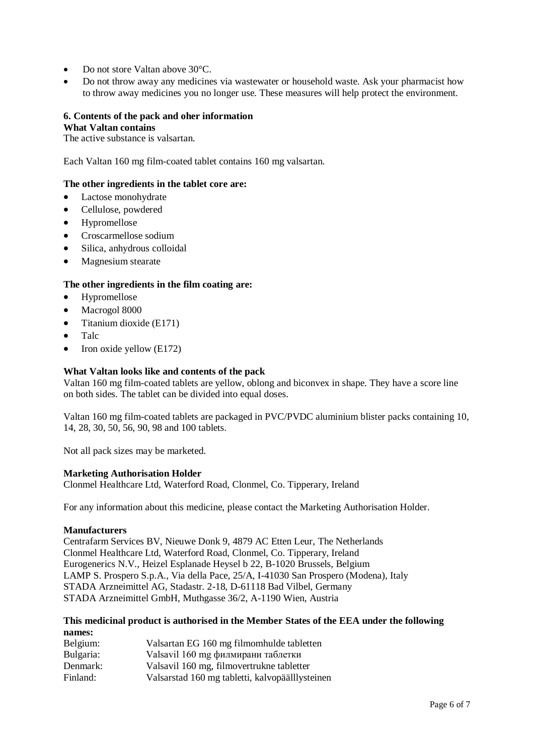- Do not store Valtan above 30°C.
- Do not throw away any medicines via wastewater or household waste. Ask your pharmacist how to throw away medicines you no longer use. These measures will help protect the environment.

# **6. Contents of the pack and oher information**

# **What Valtan contains**

The active substance is valsartan.

Each Valtan 160 mg film-coated tablet contains 160 mg valsartan.

# **The other ingredients in the tablet core are:**

- Lactose monohydrate
- Cellulose, powdered
- Hypromellose
- Croscarmellose sodium
- Silica, anhydrous colloidal
- Magnesium stearate

### **The other ingredients in the film coating are:**

- Hypromellose
- Macrogol 8000
- $\bullet$  Titanium dioxide (E171)
- Talc
- $\bullet$  Iron oxide yellow (E172)

### **What Valtan looks like and contents of the pack**

Valtan 160 mg film-coated tablets are yellow, oblong and biconvex in shape. They have a score line on both sides. The tablet can be divided into equal doses.

Valtan 160 mg film-coated tablets are packaged in PVC/PVDC aluminium blister packs containing 10, 14, 28, 30, 50, 56, 90, 98 and 100 tablets.

Not all pack sizes may be marketed.

#### **Marketing Authorisation Holder**

Clonmel Healthcare Ltd, Waterford Road, Clonmel, Co. Tipperary, Ireland

For any information about this medicine, please contact the Marketing Authorisation Holder.

#### **Manufacturers**

Centrafarm Services BV, Nieuwe Donk 9, 4879 AC Etten Leur, The Netherlands Clonmel Healthcare Ltd, Waterford Road, Clonmel, Co. Tipperary, Ireland Eurogenerics N.V., Heizel Esplanade Heysel b 22, B-1020 Brussels, Belgium LAMP S. Prospero S.p.A., Via della Pace, 25/A, I-41030 San Prospero (Modena), Italy STADA Arzneimittel AG, Stadastr. 2-18, D-61118 Bad Vilbel, Germany STADA Arzneimittel GmbH, Muthgasse 36/2, A-1190 Wien, Austria

# **This medicinal product is authorised in the Member States of the EEA under the following names:**

| Belgium:  | Valsartan EG 160 mg filmomhulde tabletten       |
|-----------|-------------------------------------------------|
| Bulgaria: | Valsavil 160 mg филмирани таблетки              |
| Denmark:  | Valsavil 160 mg, filmovertrukne tabletter       |
| Finland:  | Valsarstad 160 mg tabletti, kalvopäälllysteinen |